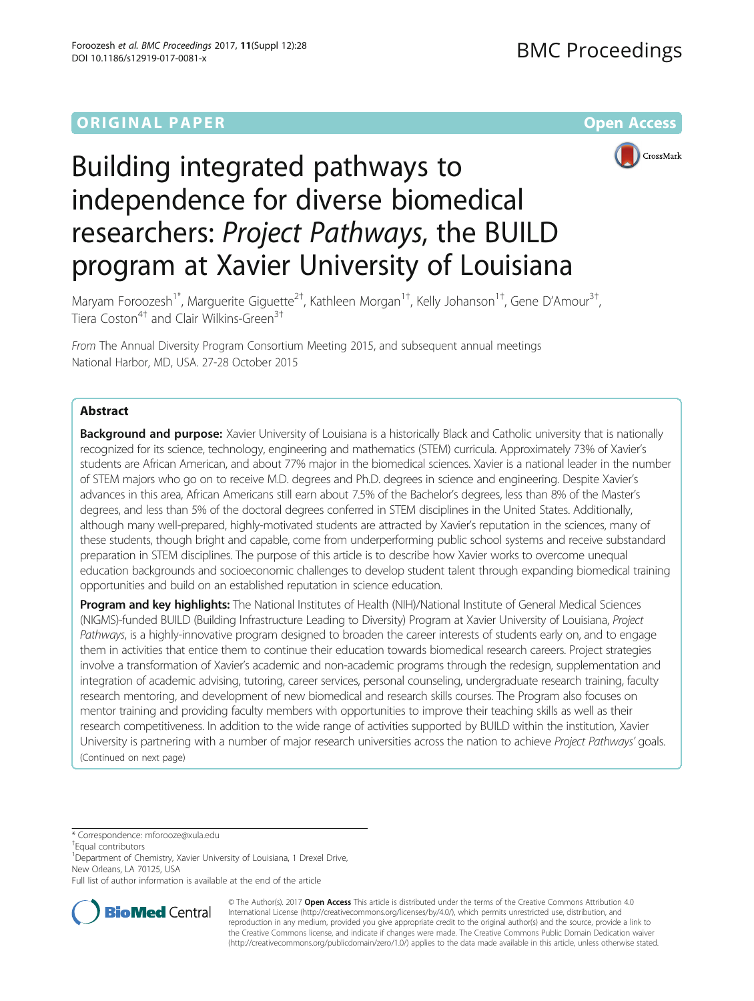# ORIGINAL PAPER AND RESERVE ENTITLE IN THE SERVE ENTITLE STATE OPEN ACCESS



# Building integrated pathways to independence for diverse biomedical researchers: Project Pathways, the BUILD program at Xavier University of Louisiana

Maryam Foroozesh<sup>1\*</sup>, Marguerite Giguette<sup>2†</sup>, Kathleen Morgan<sup>1†</sup>, Kelly Johanson<sup>1†</sup>, Gene D'Amour<sup>3†</sup> , Tiera Coston<sup>4†</sup> and Clair Wilkins-Green<sup>3†</sup>

From The Annual Diversity Program Consortium Meeting 2015, and subsequent annual meetings National Harbor, MD, USA. 27-28 October 2015

# Abstract

Background and purpose: Xavier University of Louisiana is a historically Black and Catholic university that is nationally recognized for its science, technology, engineering and mathematics (STEM) curricula. Approximately 73% of Xavier's students are African American, and about 77% major in the biomedical sciences. Xavier is a national leader in the number of STEM majors who go on to receive M.D. degrees and Ph.D. degrees in science and engineering. Despite Xavier's advances in this area, African Americans still earn about 7.5% of the Bachelor's degrees, less than 8% of the Master's degrees, and less than 5% of the doctoral degrees conferred in STEM disciplines in the United States. Additionally, although many well-prepared, highly-motivated students are attracted by Xavier's reputation in the sciences, many of these students, though bright and capable, come from underperforming public school systems and receive substandard preparation in STEM disciplines. The purpose of this article is to describe how Xavier works to overcome unequal education backgrounds and socioeconomic challenges to develop student talent through expanding biomedical training opportunities and build on an established reputation in science education.

Program and key highlights: The National Institutes of Health (NIH)/National Institute of General Medical Sciences (NIGMS)-funded BUILD (Building Infrastructure Leading to Diversity) Program at Xavier University of Louisiana, Project Pathways, is a highly-innovative program designed to broaden the career interests of students early on, and to engage them in activities that entice them to continue their education towards biomedical research careers. Project strategies involve a transformation of Xavier's academic and non-academic programs through the redesign, supplementation and integration of academic advising, tutoring, career services, personal counseling, undergraduate research training, faculty research mentoring, and development of new biomedical and research skills courses. The Program also focuses on mentor training and providing faculty members with opportunities to improve their teaching skills as well as their research competitiveness. In addition to the wide range of activities supported by BUILD within the institution, Xavier University is partnering with a number of major research universities across the nation to achieve Project Pathways' goals. (Continued on next page)

\* Correspondence: [mforooze@xula.edu](mailto:mforooze@xula.edu) †

Equal contributors

<sup>1</sup>Department of Chemistry, Xavier University of Louisiana, 1 Drexel Drive, New Orleans, LA 70125, USA

Full list of author information is available at the end of the article



© The Author(s). 2017 **Open Access** This article is distributed under the terms of the Creative Commons Attribution 4.0 International License [\(http://creativecommons.org/licenses/by/4.0/](http://creativecommons.org/licenses/by/4.0/)), which permits unrestricted use, distribution, and reproduction in any medium, provided you give appropriate credit to the original author(s) and the source, provide a link to the Creative Commons license, and indicate if changes were made. The Creative Commons Public Domain Dedication waiver [\(http://creativecommons.org/publicdomain/zero/1.0/](http://creativecommons.org/publicdomain/zero/1.0/)) applies to the data made available in this article, unless otherwise stated.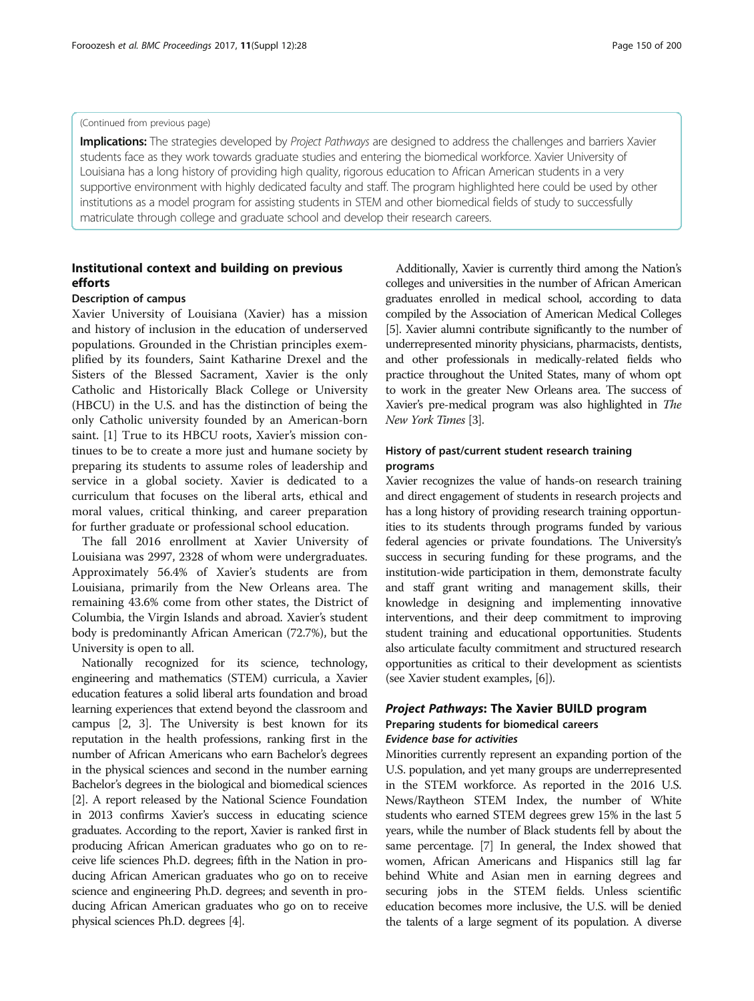#### (Continued from previous page)

Implications: The strategies developed by Project Pathways are designed to address the challenges and barriers Xavier students face as they work towards graduate studies and entering the biomedical workforce. Xavier University of Louisiana has a long history of providing high quality, rigorous education to African American students in a very supportive environment with highly dedicated faculty and staff. The program highlighted here could be used by other institutions as a model program for assisting students in STEM and other biomedical fields of study to successfully matriculate through college and graduate school and develop their research careers.

# Institutional context and building on previous efforts

#### Description of campus

Xavier University of Louisiana (Xavier) has a mission and history of inclusion in the education of underserved populations. Grounded in the Christian principles exemplified by its founders, Saint Katharine Drexel and the Sisters of the Blessed Sacrament, Xavier is the only Catholic and Historically Black College or University (HBCU) in the U.S. and has the distinction of being the only Catholic university founded by an American-born saint. [[1\]](#page-7-0) True to its HBCU roots, Xavier's mission continues to be to create a more just and humane society by preparing its students to assume roles of leadership and service in a global society. Xavier is dedicated to a curriculum that focuses on the liberal arts, ethical and moral values, critical thinking, and career preparation for further graduate or professional school education.

The fall 2016 enrollment at Xavier University of Louisiana was 2997, 2328 of whom were undergraduates. Approximately 56.4% of Xavier's students are from Louisiana, primarily from the New Orleans area. The remaining 43.6% come from other states, the District of Columbia, the Virgin Islands and abroad. Xavier's student body is predominantly African American (72.7%), but the University is open to all.

Nationally recognized for its science, technology, engineering and mathematics (STEM) curricula, a Xavier education features a solid liberal arts foundation and broad learning experiences that extend beyond the classroom and campus [[2](#page-7-0), [3\]](#page-7-0). The University is best known for its reputation in the health professions, ranking first in the number of African Americans who earn Bachelor's degrees in the physical sciences and second in the number earning Bachelor's degrees in the biological and biomedical sciences [[2](#page-7-0)]. A report released by the National Science Foundation in 2013 confirms Xavier's success in educating science graduates. According to the report, Xavier is ranked first in producing African American graduates who go on to receive life sciences Ph.D. degrees; fifth in the Nation in producing African American graduates who go on to receive science and engineering Ph.D. degrees; and seventh in producing African American graduates who go on to receive physical sciences Ph.D. degrees [[4](#page-7-0)].

Additionally, Xavier is currently third among the Nation's colleges and universities in the number of African American graduates enrolled in medical school, according to data compiled by the Association of American Medical Colleges [[5](#page-7-0)]. Xavier alumni contribute significantly to the number of underrepresented minority physicians, pharmacists, dentists, and other professionals in medically-related fields who practice throughout the United States, many of whom opt to work in the greater New Orleans area. The success of Xavier's pre-medical program was also highlighted in The New York Times [\[3\]](#page-7-0).

# History of past/current student research training programs

Xavier recognizes the value of hands-on research training and direct engagement of students in research projects and has a long history of providing research training opportunities to its students through programs funded by various federal agencies or private foundations. The University's success in securing funding for these programs, and the institution-wide participation in them, demonstrate faculty and staff grant writing and management skills, their knowledge in designing and implementing innovative interventions, and their deep commitment to improving student training and educational opportunities. Students also articulate faculty commitment and structured research opportunities as critical to their development as scientists (see Xavier student examples, [\[6\]](#page-7-0)).

# Project Pathways: The Xavier BUILD program Preparing students for biomedical careers Evidence base for activities

Minorities currently represent an expanding portion of the U.S. population, and yet many groups are underrepresented in the STEM workforce. As reported in the 2016 U.S. News/Raytheon STEM Index, the number of White students who earned STEM degrees grew 15% in the last 5 years, while the number of Black students fell by about the same percentage. [\[7\]](#page-7-0) In general, the Index showed that women, African Americans and Hispanics still lag far behind White and Asian men in earning degrees and securing jobs in the STEM fields. Unless scientific education becomes more inclusive, the U.S. will be denied the talents of a large segment of its population. A diverse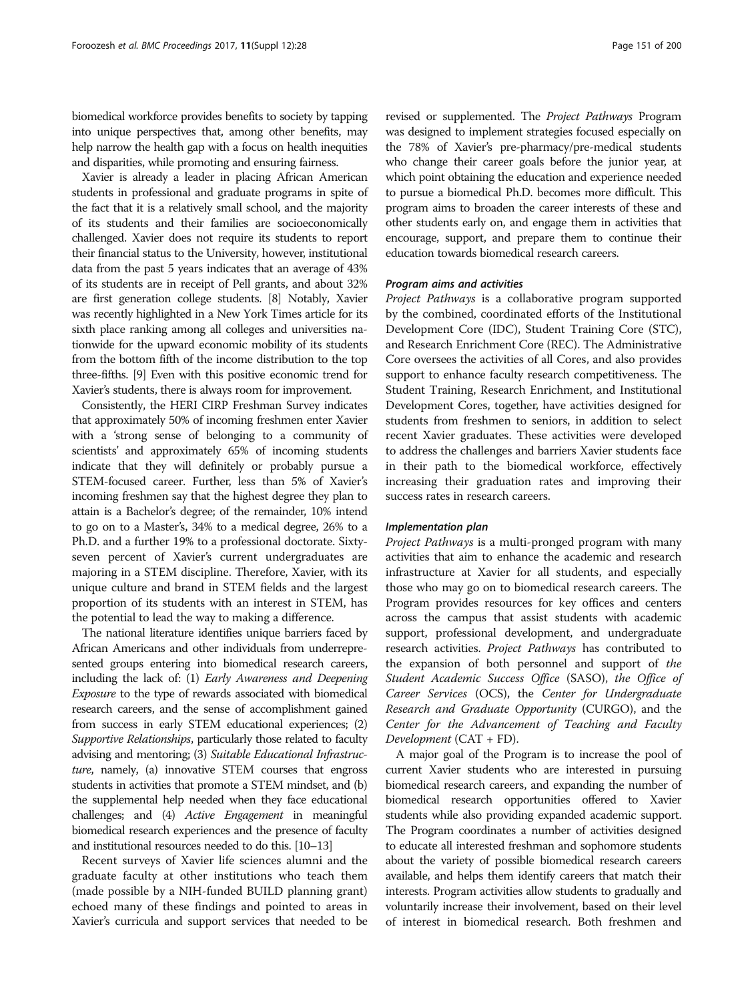biomedical workforce provides benefits to society by tapping into unique perspectives that, among other benefits, may help narrow the health gap with a focus on health inequities and disparities, while promoting and ensuring fairness.

Xavier is already a leader in placing African American students in professional and graduate programs in spite of the fact that it is a relatively small school, and the majority of its students and their families are socioeconomically challenged. Xavier does not require its students to report their financial status to the University, however, institutional data from the past 5 years indicates that an average of 43% of its students are in receipt of Pell grants, and about 32% are first generation college students. [[8](#page-7-0)] Notably, Xavier was recently highlighted in a New York Times article for its sixth place ranking among all colleges and universities nationwide for the upward economic mobility of its students from the bottom fifth of the income distribution to the top three-fifths. [\[9\]](#page-7-0) Even with this positive economic trend for Xavier's students, there is always room for improvement.

Consistently, the HERI CIRP Freshman Survey indicates that approximately 50% of incoming freshmen enter Xavier with a 'strong sense of belonging to a community of scientists' and approximately 65% of incoming students indicate that they will definitely or probably pursue a STEM-focused career. Further, less than 5% of Xavier's incoming freshmen say that the highest degree they plan to attain is a Bachelor's degree; of the remainder, 10% intend to go on to a Master's, 34% to a medical degree, 26% to a Ph.D. and a further 19% to a professional doctorate. Sixtyseven percent of Xavier's current undergraduates are majoring in a STEM discipline. Therefore, Xavier, with its unique culture and brand in STEM fields and the largest proportion of its students with an interest in STEM, has the potential to lead the way to making a difference.

The national literature identifies unique barriers faced by African Americans and other individuals from underrepresented groups entering into biomedical research careers, including the lack of: (1) Early Awareness and Deepening Exposure to the type of rewards associated with biomedical research careers, and the sense of accomplishment gained from success in early STEM educational experiences; (2) Supportive Relationships, particularly those related to faculty advising and mentoring; (3) Suitable Educational Infrastructure, namely, (a) innovative STEM courses that engross students in activities that promote a STEM mindset, and (b) the supplemental help needed when they face educational challenges; and (4) Active Engagement in meaningful biomedical research experiences and the presence of faculty and institutional resources needed to do this. [[10](#page-7-0)–[13\]](#page-7-0)

Recent surveys of Xavier life sciences alumni and the graduate faculty at other institutions who teach them (made possible by a NIH-funded BUILD planning grant) echoed many of these findings and pointed to areas in Xavier's curricula and support services that needed to be revised or supplemented. The Project Pathways Program was designed to implement strategies focused especially on the 78% of Xavier's pre-pharmacy/pre-medical students who change their career goals before the junior year, at which point obtaining the education and experience needed to pursue a biomedical Ph.D. becomes more difficult. This program aims to broaden the career interests of these and other students early on, and engage them in activities that encourage, support, and prepare them to continue their education towards biomedical research careers.

#### Program aims and activities

Project Pathways is a collaborative program supported by the combined, coordinated efforts of the Institutional Development Core (IDC), Student Training Core (STC), and Research Enrichment Core (REC). The Administrative Core oversees the activities of all Cores, and also provides support to enhance faculty research competitiveness. The Student Training, Research Enrichment, and Institutional Development Cores, together, have activities designed for students from freshmen to seniors, in addition to select recent Xavier graduates. These activities were developed to address the challenges and barriers Xavier students face in their path to the biomedical workforce, effectively increasing their graduation rates and improving their success rates in research careers.

#### Implementation plan

Project Pathways is a multi-pronged program with many activities that aim to enhance the academic and research infrastructure at Xavier for all students, and especially those who may go on to biomedical research careers. The Program provides resources for key offices and centers across the campus that assist students with academic support, professional development, and undergraduate research activities. Project Pathways has contributed to the expansion of both personnel and support of the Student Academic Success Office (SASO), the Office of Career Services (OCS), the Center for Undergraduate Research and Graduate Opportunity (CURGO), and the Center for the Advancement of Teaching and Faculty Development (CAT + FD).

A major goal of the Program is to increase the pool of current Xavier students who are interested in pursuing biomedical research careers, and expanding the number of biomedical research opportunities offered to Xavier students while also providing expanded academic support. The Program coordinates a number of activities designed to educate all interested freshman and sophomore students about the variety of possible biomedical research careers available, and helps them identify careers that match their interests. Program activities allow students to gradually and voluntarily increase their involvement, based on their level of interest in biomedical research. Both freshmen and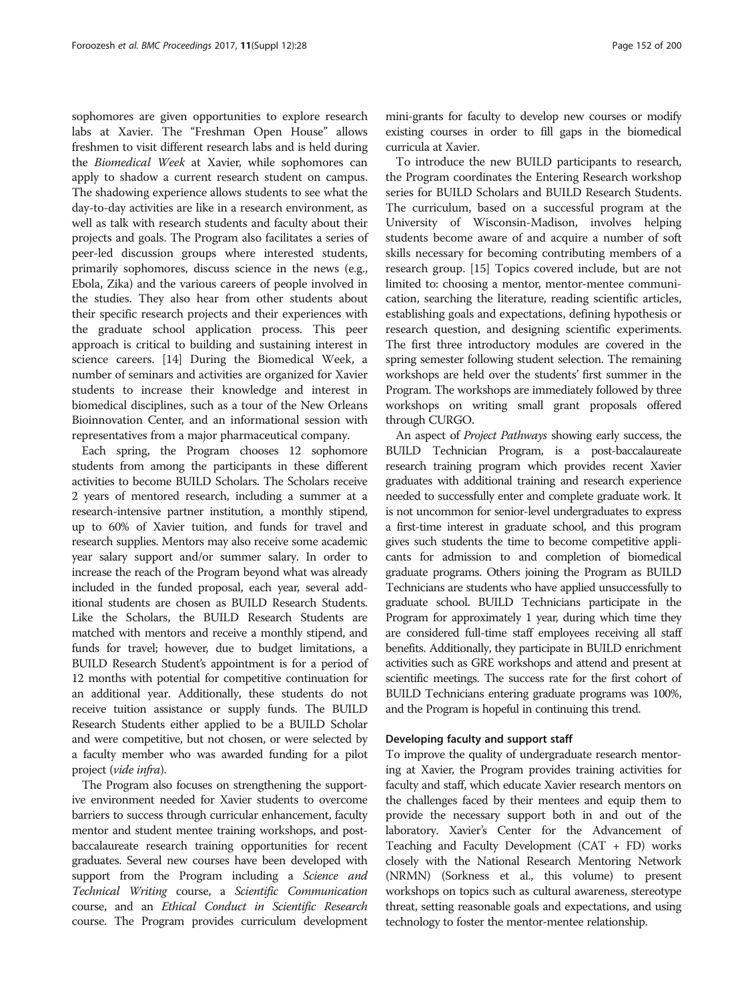sophomores are given opportunities to explore research labs at Xavier. The "Freshman Open House" allows freshmen to visit different research labs and is held during the Biomedical Week at Xavier, while sophomores can apply to shadow a current research student on campus. The shadowing experience allows students to see what the day-to-day activities are like in a research environment, as well as talk with research students and faculty about their projects and goals. The Program also facilitates a series of peer-led discussion groups where interested students, primarily sophomores, discuss science in the news (e.g., Ebola, Zika) and the various careers of people involved in the studies. They also hear from other students about their specific research projects and their experiences with the graduate school application process. This peer approach is critical to building and sustaining interest in science careers. [\[14\]](#page-7-0) During the Biomedical Week, a number of seminars and activities are organized for Xavier students to increase their knowledge and interest in biomedical disciplines, such as a tour of the New Orleans Bioinnovation Center, and an informational session with representatives from a major pharmaceutical company.

Each spring, the Program chooses 12 sophomore students from among the participants in these different activities to become BUILD Scholars. The Scholars receive 2 years of mentored research, including a summer at a research-intensive partner institution, a monthly stipend, up to 60% of Xavier tuition, and funds for travel and research supplies. Mentors may also receive some academic year salary support and/or summer salary. In order to increase the reach of the Program beyond what was already included in the funded proposal, each year, several additional students are chosen as BUILD Research Students. Like the Scholars, the BUILD Research Students are matched with mentors and receive a monthly stipend, and funds for travel; however, due to budget limitations, a BUILD Research Student's appointment is for a period of 12 months with potential for competitive continuation for an additional year. Additionally, these students do not receive tuition assistance or supply funds. The BUILD Research Students either applied to be a BUILD Scholar and were competitive, but not chosen, or were selected by a faculty member who was awarded funding for a pilot project (vide infra).

The Program also focuses on strengthening the supportive environment needed for Xavier students to overcome barriers to success through curricular enhancement, faculty mentor and student mentee training workshops, and postbaccalaureate research training opportunities for recent graduates. Several new courses have been developed with support from the Program including a Science and Technical Writing course, a Scientific Communication course, and an Ethical Conduct in Scientific Research course. The Program provides curriculum development

mini-grants for faculty to develop new courses or modify existing courses in order to fill gaps in the biomedical curricula at Xavier.

To introduce the new BUILD participants to research, the Program coordinates the Entering Research workshop series for BUILD Scholars and BUILD Research Students. The curriculum, based on a successful program at the University of Wisconsin-Madison, involves helping students become aware of and acquire a number of soft skills necessary for becoming contributing members of a research group. [\[15](#page-7-0)] Topics covered include, but are not limited to: choosing a mentor, mentor-mentee communication, searching the literature, reading scientific articles, establishing goals and expectations, defining hypothesis or research question, and designing scientific experiments. The first three introductory modules are covered in the spring semester following student selection. The remaining workshops are held over the students' first summer in the Program. The workshops are immediately followed by three workshops on writing small grant proposals offered through CURGO.

An aspect of Project Pathways showing early success, the BUILD Technician Program, is a post-baccalaureate research training program which provides recent Xavier graduates with additional training and research experience needed to successfully enter and complete graduate work. It is not uncommon for senior-level undergraduates to express a first-time interest in graduate school, and this program gives such students the time to become competitive applicants for admission to and completion of biomedical graduate programs. Others joining the Program as BUILD Technicians are students who have applied unsuccessfully to graduate school. BUILD Technicians participate in the Program for approximately 1 year, during which time they are considered full-time staff employees receiving all staff benefits. Additionally, they participate in BUILD enrichment activities such as GRE workshops and attend and present at scientific meetings. The success rate for the first cohort of BUILD Technicians entering graduate programs was 100%, and the Program is hopeful in continuing this trend.

#### Developing faculty and support staff

To improve the quality of undergraduate research mentoring at Xavier, the Program provides training activities for faculty and staff, which educate Xavier research mentors on the challenges faced by their mentees and equip them to provide the necessary support both in and out of the laboratory. Xavier's Center for the Advancement of Teaching and Faculty Development (CAT + FD) works closely with the National Research Mentoring Network (NRMN) (Sorkness et al., this volume) to present workshops on topics such as cultural awareness, stereotype threat, setting reasonable goals and expectations, and using technology to foster the mentor-mentee relationship.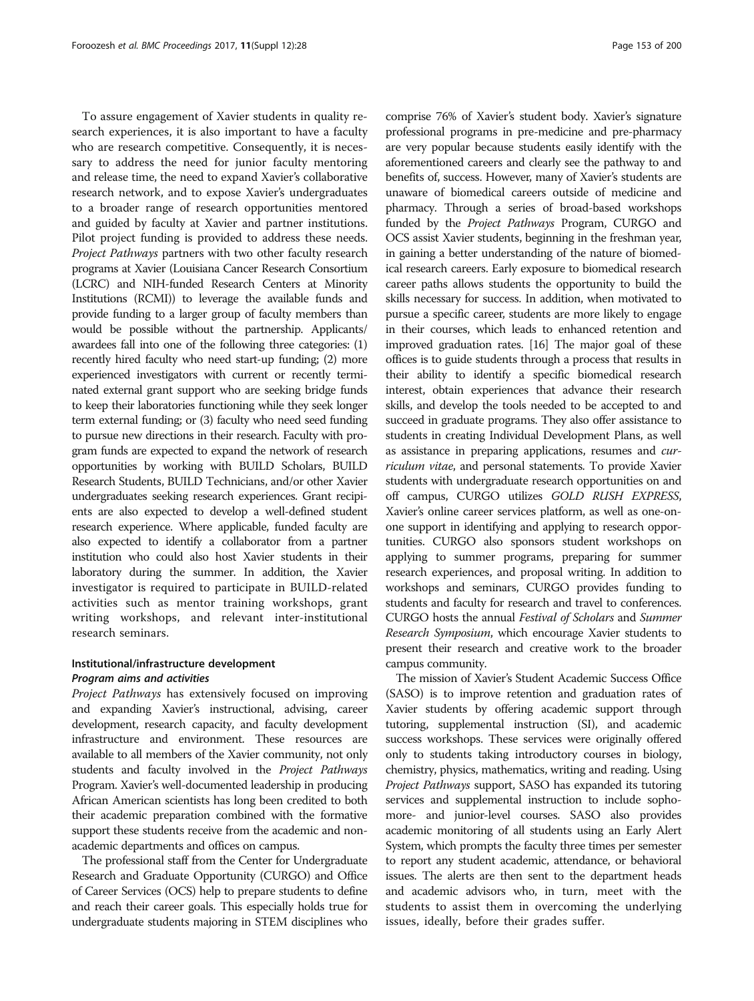To assure engagement of Xavier students in quality research experiences, it is also important to have a faculty who are research competitive. Consequently, it is necessary to address the need for junior faculty mentoring and release time, the need to expand Xavier's collaborative research network, and to expose Xavier's undergraduates to a broader range of research opportunities mentored and guided by faculty at Xavier and partner institutions. Pilot project funding is provided to address these needs. Project Pathways partners with two other faculty research programs at Xavier (Louisiana Cancer Research Consortium (LCRC) and NIH-funded Research Centers at Minority Institutions (RCMI)) to leverage the available funds and provide funding to a larger group of faculty members than would be possible without the partnership. Applicants/ awardees fall into one of the following three categories: (1) recently hired faculty who need start-up funding; (2) more experienced investigators with current or recently terminated external grant support who are seeking bridge funds to keep their laboratories functioning while they seek longer term external funding; or (3) faculty who need seed funding to pursue new directions in their research. Faculty with program funds are expected to expand the network of research opportunities by working with BUILD Scholars, BUILD Research Students, BUILD Technicians, and/or other Xavier undergraduates seeking research experiences. Grant recipients are also expected to develop a well-defined student research experience. Where applicable, funded faculty are also expected to identify a collaborator from a partner institution who could also host Xavier students in their laboratory during the summer. In addition, the Xavier investigator is required to participate in BUILD-related activities such as mentor training workshops, grant writing workshops, and relevant inter-institutional research seminars.

# Institutional/infrastructure development Program aims and activities

Project Pathways has extensively focused on improving and expanding Xavier's instructional, advising, career development, research capacity, and faculty development infrastructure and environment. These resources are available to all members of the Xavier community, not only students and faculty involved in the Project Pathways Program. Xavier's well-documented leadership in producing African American scientists has long been credited to both their academic preparation combined with the formative support these students receive from the academic and nonacademic departments and offices on campus.

The professional staff from the Center for Undergraduate Research and Graduate Opportunity (CURGO) and Office of Career Services (OCS) help to prepare students to define and reach their career goals. This especially holds true for undergraduate students majoring in STEM disciplines who

comprise 76% of Xavier's student body. Xavier's signature professional programs in pre-medicine and pre-pharmacy are very popular because students easily identify with the aforementioned careers and clearly see the pathway to and benefits of, success. However, many of Xavier's students are unaware of biomedical careers outside of medicine and pharmacy. Through a series of broad-based workshops funded by the Project Pathways Program, CURGO and OCS assist Xavier students, beginning in the freshman year, in gaining a better understanding of the nature of biomedical research careers. Early exposure to biomedical research career paths allows students the opportunity to build the skills necessary for success. In addition, when motivated to pursue a specific career, students are more likely to engage in their courses, which leads to enhanced retention and improved graduation rates. [\[16\]](#page-7-0) The major goal of these offices is to guide students through a process that results in their ability to identify a specific biomedical research interest, obtain experiences that advance their research skills, and develop the tools needed to be accepted to and succeed in graduate programs. They also offer assistance to students in creating Individual Development Plans, as well as assistance in preparing applications, resumes and curriculum vitae, and personal statements. To provide Xavier students with undergraduate research opportunities on and off campus, CURGO utilizes GOLD RUSH EXPRESS, Xavier's online career services platform, as well as one-onone support in identifying and applying to research opportunities. CURGO also sponsors student workshops on applying to summer programs, preparing for summer research experiences, and proposal writing. In addition to workshops and seminars, CURGO provides funding to students and faculty for research and travel to conferences. CURGO hosts the annual Festival of Scholars and Summer Research Symposium, which encourage Xavier students to present their research and creative work to the broader campus community.

The mission of Xavier's Student Academic Success Office (SASO) is to improve retention and graduation rates of Xavier students by offering academic support through tutoring, supplemental instruction (SI), and academic success workshops. These services were originally offered only to students taking introductory courses in biology, chemistry, physics, mathematics, writing and reading. Using Project Pathways support, SASO has expanded its tutoring services and supplemental instruction to include sophomore- and junior-level courses. SASO also provides academic monitoring of all students using an Early Alert System, which prompts the faculty three times per semester to report any student academic, attendance, or behavioral issues. The alerts are then sent to the department heads and academic advisors who, in turn, meet with the students to assist them in overcoming the underlying issues, ideally, before their grades suffer.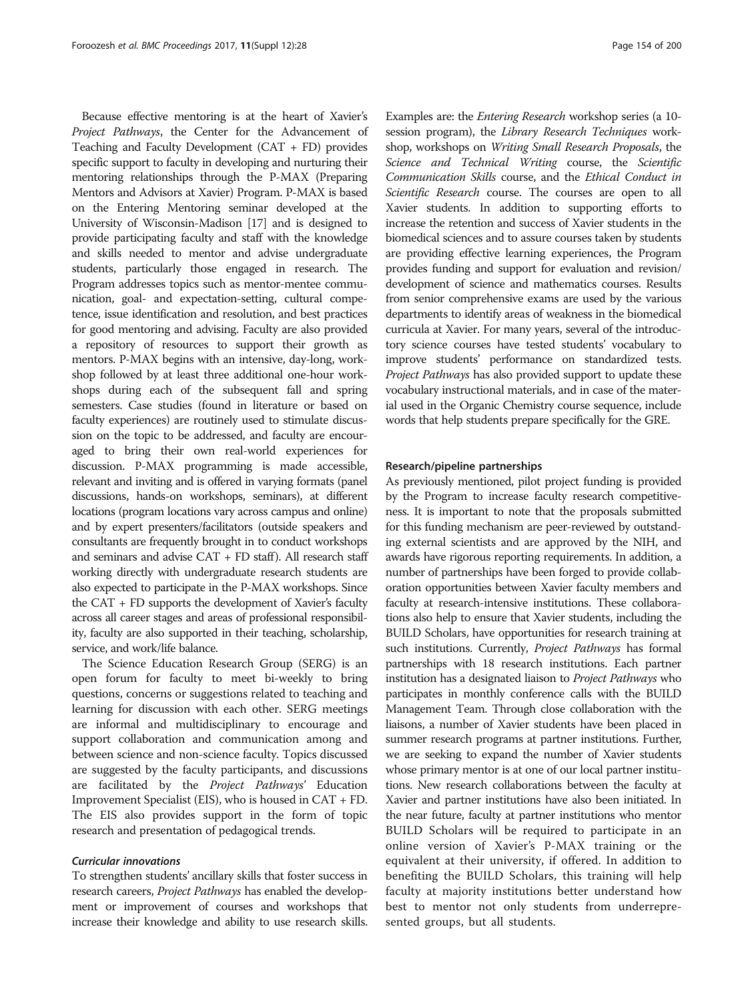Because effective mentoring is at the heart of Xavier's Project Pathways, the Center for the Advancement of Teaching and Faculty Development (CAT + FD) provides specific support to faculty in developing and nurturing their mentoring relationships through the P-MAX (Preparing Mentors and Advisors at Xavier) Program. P-MAX is based on the Entering Mentoring seminar developed at the University of Wisconsin-Madison [[17\]](#page-7-0) and is designed to provide participating faculty and staff with the knowledge and skills needed to mentor and advise undergraduate students, particularly those engaged in research. The Program addresses topics such as mentor-mentee communication, goal- and expectation-setting, cultural competence, issue identification and resolution, and best practices for good mentoring and advising. Faculty are also provided a repository of resources to support their growth as mentors. P-MAX begins with an intensive, day-long, workshop followed by at least three additional one-hour workshops during each of the subsequent fall and spring semesters. Case studies (found in literature or based on faculty experiences) are routinely used to stimulate discussion on the topic to be addressed, and faculty are encouraged to bring their own real-world experiences for discussion. P-MAX programming is made accessible, relevant and inviting and is offered in varying formats (panel discussions, hands-on workshops, seminars), at different locations (program locations vary across campus and online) and by expert presenters/facilitators (outside speakers and consultants are frequently brought in to conduct workshops and seminars and advise CAT + FD staff). All research staff working directly with undergraduate research students are also expected to participate in the P-MAX workshops. Since the CAT + FD supports the development of Xavier's faculty across all career stages and areas of professional responsibility, faculty are also supported in their teaching, scholarship, service, and work/life balance.

The Science Education Research Group (SERG) is an open forum for faculty to meet bi-weekly to bring questions, concerns or suggestions related to teaching and learning for discussion with each other. SERG meetings are informal and multidisciplinary to encourage and support collaboration and communication among and between science and non-science faculty. Topics discussed are suggested by the faculty participants, and discussions are facilitated by the Project Pathways' Education Improvement Specialist (EIS), who is housed in CAT + FD. The EIS also provides support in the form of topic research and presentation of pedagogical trends.

## Curricular innovations

To strengthen students' ancillary skills that foster success in research careers, *Project Pathways* has enabled the development or improvement of courses and workshops that increase their knowledge and ability to use research skills.

Examples are: the Entering Research workshop series (a 10 session program), the Library Research Techniques workshop, workshops on Writing Small Research Proposals, the Science and Technical Writing course, the Scientific Communication Skills course, and the Ethical Conduct in Scientific Research course. The courses are open to all Xavier students. In addition to supporting efforts to increase the retention and success of Xavier students in the biomedical sciences and to assure courses taken by students are providing effective learning experiences, the Program provides funding and support for evaluation and revision/ development of science and mathematics courses. Results from senior comprehensive exams are used by the various departments to identify areas of weakness in the biomedical curricula at Xavier. For many years, several of the introductory science courses have tested students' vocabulary to improve students' performance on standardized tests. Project Pathways has also provided support to update these vocabulary instructional materials, and in case of the material used in the Organic Chemistry course sequence, include words that help students prepare specifically for the GRE.

#### Research/pipeline partnerships

As previously mentioned, pilot project funding is provided by the Program to increase faculty research competitiveness. It is important to note that the proposals submitted for this funding mechanism are peer-reviewed by outstanding external scientists and are approved by the NIH, and awards have rigorous reporting requirements. In addition, a number of partnerships have been forged to provide collaboration opportunities between Xavier faculty members and faculty at research-intensive institutions. These collaborations also help to ensure that Xavier students, including the BUILD Scholars, have opportunities for research training at such institutions. Currently, Project Pathways has formal partnerships with 18 research institutions. Each partner institution has a designated liaison to Project Pathways who participates in monthly conference calls with the BUILD Management Team. Through close collaboration with the liaisons, a number of Xavier students have been placed in summer research programs at partner institutions. Further, we are seeking to expand the number of Xavier students whose primary mentor is at one of our local partner institutions. New research collaborations between the faculty at Xavier and partner institutions have also been initiated. In the near future, faculty at partner institutions who mentor BUILD Scholars will be required to participate in an online version of Xavier's P-MAX training or the equivalent at their university, if offered. In addition to benefiting the BUILD Scholars, this training will help faculty at majority institutions better understand how best to mentor not only students from underrepresented groups, but all students.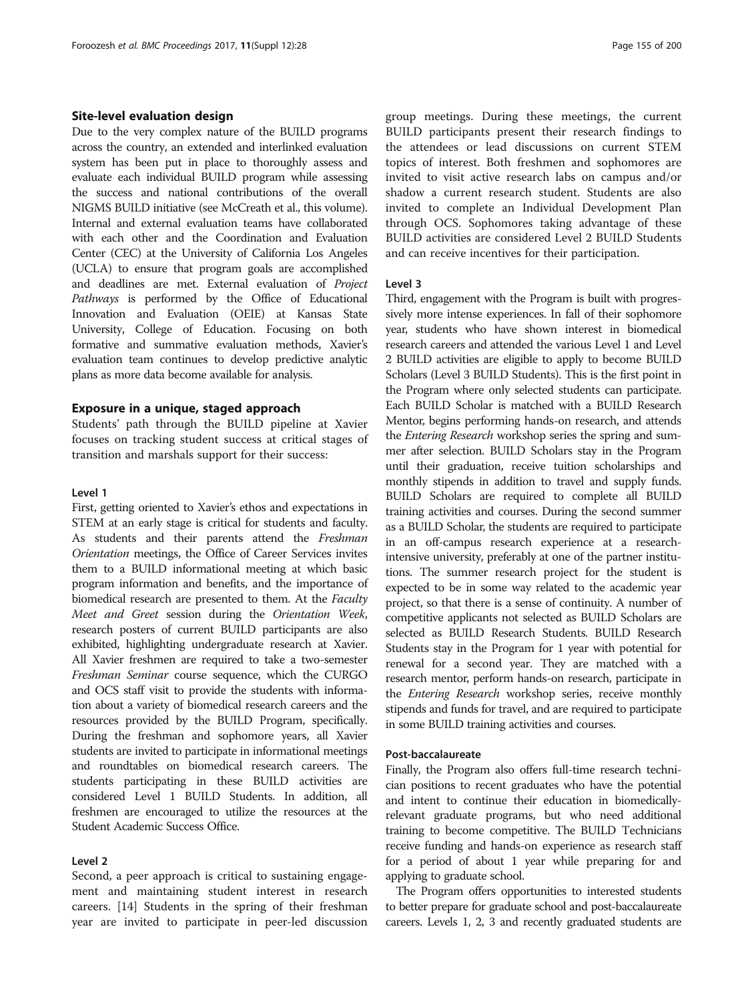#### Site-level evaluation design

Due to the very complex nature of the BUILD programs across the country, an extended and interlinked evaluation system has been put in place to thoroughly assess and evaluate each individual BUILD program while assessing the success and national contributions of the overall NIGMS BUILD initiative (see McCreath et al., this volume). Internal and external evaluation teams have collaborated with each other and the Coordination and Evaluation Center (CEC) at the University of California Los Angeles (UCLA) to ensure that program goals are accomplished and deadlines are met. External evaluation of Project Pathways is performed by the Office of Educational Innovation and Evaluation (OEIE) at Kansas State University, College of Education. Focusing on both formative and summative evaluation methods, Xavier's evaluation team continues to develop predictive analytic plans as more data become available for analysis.

## Exposure in a unique, staged approach

Students' path through the BUILD pipeline at Xavier focuses on tracking student success at critical stages of transition and marshals support for their success:

## Level 1

First, getting oriented to Xavier's ethos and expectations in STEM at an early stage is critical for students and faculty. As students and their parents attend the Freshman Orientation meetings, the Office of Career Services invites them to a BUILD informational meeting at which basic program information and benefits, and the importance of biomedical research are presented to them. At the Faculty Meet and Greet session during the Orientation Week, research posters of current BUILD participants are also exhibited, highlighting undergraduate research at Xavier. All Xavier freshmen are required to take a two-semester Freshman Seminar course sequence, which the CURGO and OCS staff visit to provide the students with information about a variety of biomedical research careers and the resources provided by the BUILD Program, specifically. During the freshman and sophomore years, all Xavier students are invited to participate in informational meetings and roundtables on biomedical research careers. The students participating in these BUILD activities are considered Level 1 BUILD Students. In addition, all freshmen are encouraged to utilize the resources at the Student Academic Success Office.

## Level 2

Second, a peer approach is critical to sustaining engagement and maintaining student interest in research careers. [[14\]](#page-7-0) Students in the spring of their freshman year are invited to participate in peer-led discussion group meetings. During these meetings, the current BUILD participants present their research findings to the attendees or lead discussions on current STEM topics of interest. Both freshmen and sophomores are invited to visit active research labs on campus and/or shadow a current research student. Students are also invited to complete an Individual Development Plan through OCS. Sophomores taking advantage of these BUILD activities are considered Level 2 BUILD Students and can receive incentives for their participation.

#### Level 3

Third, engagement with the Program is built with progressively more intense experiences. In fall of their sophomore year, students who have shown interest in biomedical research careers and attended the various Level 1 and Level 2 BUILD activities are eligible to apply to become BUILD Scholars (Level 3 BUILD Students). This is the first point in the Program where only selected students can participate. Each BUILD Scholar is matched with a BUILD Research Mentor, begins performing hands-on research, and attends the Entering Research workshop series the spring and summer after selection. BUILD Scholars stay in the Program until their graduation, receive tuition scholarships and monthly stipends in addition to travel and supply funds. BUILD Scholars are required to complete all BUILD training activities and courses. During the second summer as a BUILD Scholar, the students are required to participate in an off-campus research experience at a researchintensive university, preferably at one of the partner institutions. The summer research project for the student is expected to be in some way related to the academic year project, so that there is a sense of continuity. A number of competitive applicants not selected as BUILD Scholars are selected as BUILD Research Students. BUILD Research Students stay in the Program for 1 year with potential for renewal for a second year. They are matched with a research mentor, perform hands-on research, participate in the Entering Research workshop series, receive monthly stipends and funds for travel, and are required to participate in some BUILD training activities and courses.

## Post-baccalaureate

Finally, the Program also offers full-time research technician positions to recent graduates who have the potential and intent to continue their education in biomedicallyrelevant graduate programs, but who need additional training to become competitive. The BUILD Technicians receive funding and hands-on experience as research staff for a period of about 1 year while preparing for and applying to graduate school.

The Program offers opportunities to interested students to better prepare for graduate school and post-baccalaureate careers. Levels 1, 2, 3 and recently graduated students are